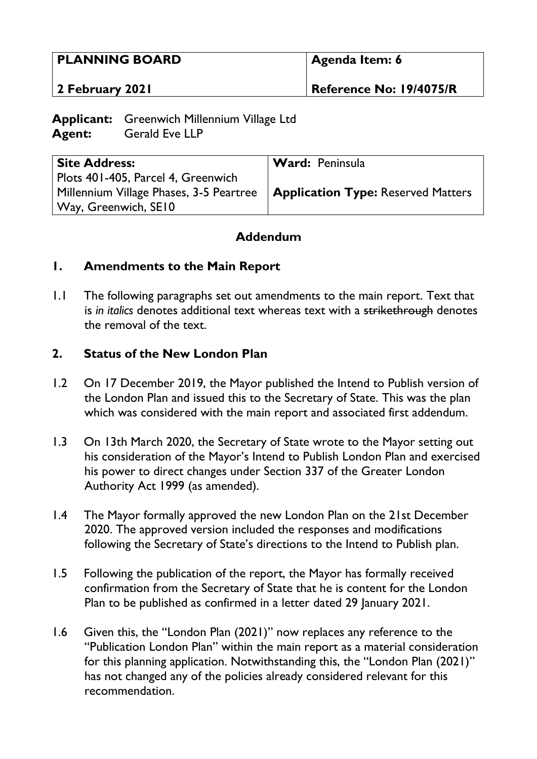| <b>PLANNING BOARD</b> | Agenda Item: 6          |
|-----------------------|-------------------------|
| 2 February 2021       | Reference No: 19/4075/R |

**Applicant:** Greenwich Millennium Village Ltd **Agent:** Gerald Eve LLP

| <b>Site Address:</b>                                                         | Ward: Peninsula |
|------------------------------------------------------------------------------|-----------------|
| Plots 401-405, Parcel 4, Greenwich                                           |                 |
| Millennium Village Phases, 3-5 Peartree   Application Type: Reserved Matters |                 |
| Way, Greenwich, SE10                                                         |                 |

## **Addendum**

## **1. Amendments to the Main Report**

1.1 The following paragraphs set out amendments to the main report. Text that is *in italics* denotes additional text whereas text with a strikethrough denotes the removal of the text.

#### **2. Status of the New London Plan**

- 1.2 On 17 December 2019, the Mayor published the Intend to Publish version of the London Plan and issued this to the Secretary of State. This was the plan which was considered with the main report and associated first addendum.
- 1.3 On 13th March 2020, the Secretary of State wrote to the Mayor setting out his consideration of the Mayor's Intend to Publish London Plan and exercised his power to direct changes under Section 337 of the Greater London Authority Act 1999 (as amended).
- 1.4 The Mayor formally approved the new London Plan on the 21st December 2020. The approved version included the responses and modifications following the Secretary of State's directions to the Intend to Publish plan.
- 1.5 Following the publication of the report, the Mayor has formally received confirmation from the Secretary of State that he is content for the London Plan to be published as confirmed in a letter dated 29 January 2021.
- 1.6 Given this, the "London Plan (2021)" now replaces any reference to the "Publication London Plan" within the main report as a material consideration for this planning application. Notwithstanding this, the "London Plan (2021)" has not changed any of the policies already considered relevant for this recommendation.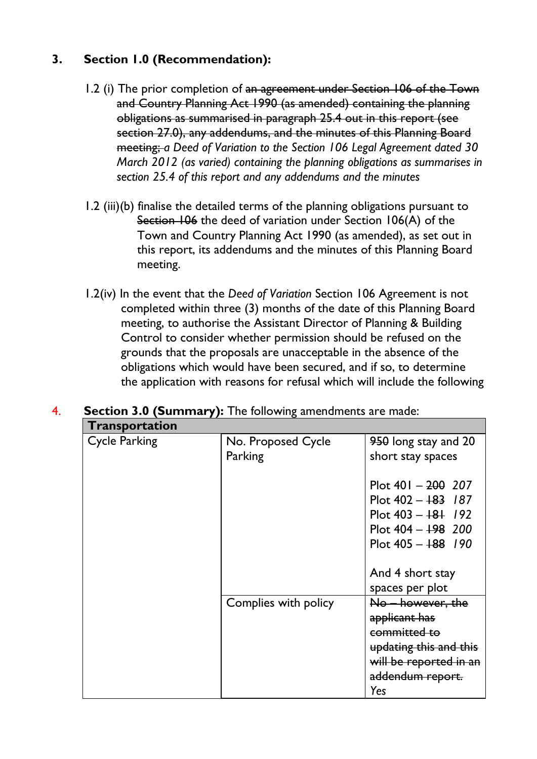## **3. Section 1.0 (Recommendation):**

- 1.2 (i) The prior completion of an agreement under Section 106 of the Town and Country Planning Act 1990 (as amended) containing the planning obligations as summarised in paragraph 25.4 out in this report (see section 27.0), any addendums, and the minutes of this Planning Board meeting; *a Deed of Variation to the Section 106 Legal Agreement dated 30 March 2012 (as varied) containing the planning obligations as summarises in section 25.4 of this report and any addendums and the minutes*
- 1.2 (iii)(b) finalise the detailed terms of the planning obligations pursuant to Section 106 the deed of variation under Section 106(A) of the Town and Country Planning Act 1990 (as amended), as set out in this report, its addendums and the minutes of this Planning Board meeting.
- 1.2(iv) In the event that the *Deed of Variation* Section 106 Agreement is not completed within three (3) months of the date of this Planning Board meeting, to authorise the Assistant Director of Planning & Building Control to consider whether permission should be refused on the grounds that the proposals are unacceptable in the absence of the obligations which would have been secured, and if so, to determine the application with reasons for refusal which will include the following

| Transportation       |                               |                                                                                                                                   |
|----------------------|-------------------------------|-----------------------------------------------------------------------------------------------------------------------------------|
| <b>Cycle Parking</b> | No. Proposed Cycle<br>Parking | 950 long stay and 20<br>short stay spaces                                                                                         |
|                      |                               | Plot $401 - 200$ 207<br>Plot $402 - 183$ 187<br>Plot $403 - 181$ /92<br>Plot $404 - 198$ 200<br>Plot $405 - 188$ 190              |
|                      |                               | And 4 short stay<br>spaces per plot                                                                                               |
|                      | Complies with policy          | No – however, the<br>applicant has<br>committed to<br>updating this and this<br>will be reported in an<br>addendum report.<br>Yes |

# 4. **Section 3.0 (Summary):** The following amendments are made: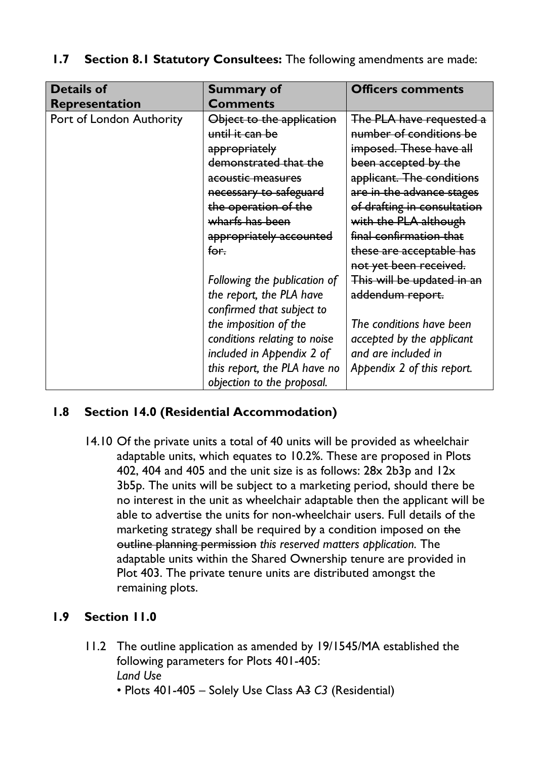| <b>Details of</b>        | <b>Summary of</b>            | <b>Officers comments</b>    |
|--------------------------|------------------------------|-----------------------------|
| <b>Representation</b>    | <b>Comments</b>              |                             |
| Port of London Authority | Object to the application    | The PLA have requested a    |
|                          | until it can be              | number of conditions be     |
|                          | appropriately                | imposed. These have all     |
|                          | demonstrated that the        | been accepted by the        |
|                          | acoustic measures            | applicant. The conditions   |
|                          | necessary to safeguard       | are in the advance stages   |
|                          | the operation of the         | of drafting in consultation |
|                          | wharfs has been              | with the PLA although       |
|                          | appropriately accounted      | final confirmation that     |
|                          | for.                         | these are acceptable has    |
|                          |                              | not yet been received.      |
|                          | Following the publication of | This will be updated in an  |
|                          | the report, the PLA have     | addendum report.            |
|                          | confirmed that subject to    |                             |
|                          | the imposition of the        | The conditions have been    |
|                          | conditions relating to noise | accepted by the applicant   |
|                          | included in Appendix 2 of    | and are included in         |
|                          | this report, the PLA have no | Appendix 2 of this report.  |
|                          | objection to the proposal.   |                             |

## **1.7 Section 8.1 Statutory Consultees:** The following amendments are made:

## **1.8 Section 14.0 (Residential Accommodation)**

14.10 Of the private units a total of 40 units will be provided as wheelchair adaptable units, which equates to 10.2%. These are proposed in Plots 402, 404 and 405 and the unit size is as follows: 28x 2b3p and 12x 3b5p. The units will be subject to a marketing period, should there be no interest in the unit as wheelchair adaptable then the applicant will be able to advertise the units for non-wheelchair users. Full details of the marketing strategy shall be required by a condition imposed on the outline planning permission *this reserved matters application.* The adaptable units within the Shared Ownership tenure are provided in Plot 403. The private tenure units are distributed amongst the remaining plots.

## **1.9 Section 11.0**

- 11.2 The outline application as amended by 19/1545/MA established the following parameters for Plots 401-405: *Land Use*
	- Plots 401-405 Solely Use Class A3 *C3* (Residential)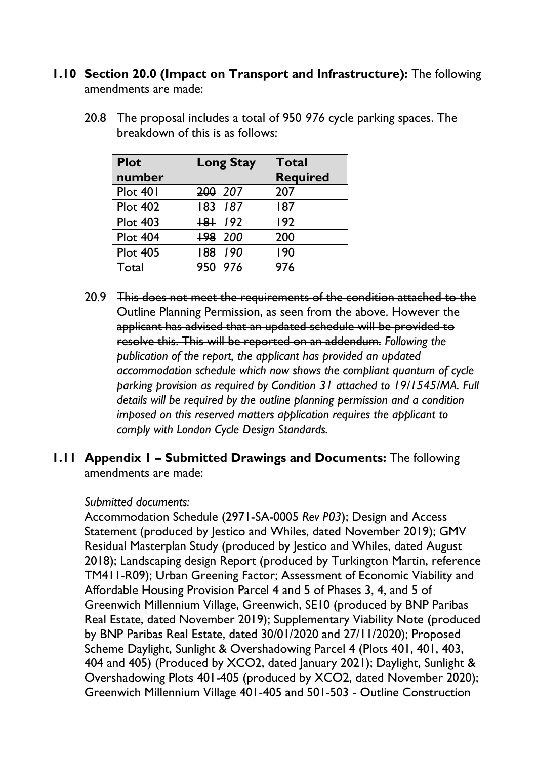#### **1.10 Section 20.0 (Impact on Transport and Infrastructure):** The following amendments are made:

20.8 The proposal includes a total of 950 *976* cycle parking spaces. The breakdown of this is as follows:

| <b>Plot</b>     | <b>Long Stay</b>   | <b>Total</b>    |
|-----------------|--------------------|-----------------|
| number          |                    | <b>Required</b> |
| Plot 401        | 200 207            | 207             |
| <b>Plot 402</b> | $183$ 187          | 187             |
| <b>Plot 403</b> | $+8+$ 192          | 192             |
| <b>Plot 404</b> | +98 200            | 200             |
| <b>Plot 405</b> | $+88$ $+90$        | 190             |
| Total           | <del>950</del> 976 | 976             |

20.9 This does not meet the requirements of the condition attached to the Outline Planning Permission, as seen from the above. However the applicant has advised that an updated schedule will be provided to resolve this. This will be reported on an addendum. *Following the publication of the report, the applicant has provided an updated accommodation schedule which now shows the compliant quantum of cycle parking provision as required by Condition 31 attached to 19/1545/MA. Full details will be required by the outline planning permission and a condition imposed on this reserved matters application requires the applicant to comply with London Cycle Design Standards.*

## **1.11 Appendix 1 – Submitted Drawings and Documents:** The following amendments are made:

#### *Submitted documents:*

Accommodation Schedule (2971-SA-0005 *Rev P03*); Design and Access Statement (produced by Jestico and Whiles, dated November 2019); GMV Residual Masterplan Study (produced by Jestico and Whiles, dated August 2018); Landscaping design Report (produced by Turkington Martin, reference TM411-R09); Urban Greening Factor; Assessment of Economic Viability and Affordable Housing Provision Parcel 4 and 5 of Phases 3, 4, and 5 of Greenwich Millennium Village, Greenwich, SE10 (produced by BNP Paribas Real Estate, dated November 2019); Supplementary Viability Note (produced by BNP Paribas Real Estate, dated 30/01/2020 and 27/11/2020); Proposed Scheme Daylight, Sunlight & Overshadowing Parcel 4 (Plots 401, 401, 403, 404 and 405) (Produced by XCO2, dated January 2021); Daylight, Sunlight & Overshadowing Plots 401-405 (produced by XCO2, dated November 2020); Greenwich Millennium Village 401-405 and 501-503 - Outline Construction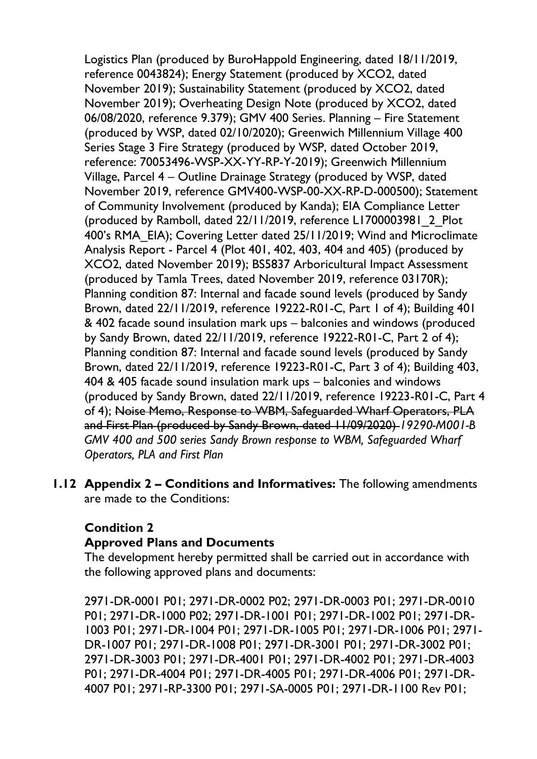Logistics Plan (produced by BuroHappold Engineering, dated 18/11/2019, reference 0043824); Energy Statement (produced by XCO2, dated November 2019); Sustainability Statement (produced by XCO2, dated November 2019); Overheating Design Note (produced by XCO2, dated 06/08/2020, reference 9.379); GMV 400 Series. Planning – Fire Statement (produced by WSP, dated 02/10/2020); Greenwich Millennium Village 400 Series Stage 3 Fire Strategy (produced by WSP, dated October 2019, reference: 70053496-WSP-XX-YY-RP-Y-2019); Greenwich Millennium Village, Parcel 4 – Outline Drainage Strategy (produced by WSP, dated November 2019, reference GMV400-WSP-00-XX-RP-D-000500); Statement of Community Involvement (produced by Kanda); EIA Compliance Letter (produced by Ramboll, dated 22/11/2019, reference L1700003981\_2\_Plot 400's RMA\_EIA); Covering Letter dated 25/11/2019; Wind and Microclimate Analysis Report - Parcel 4 (Plot 401, 402, 403, 404 and 405) (produced by XCO2, dated November 2019); BS5837 Arboricultural Impact Assessment (produced by Tamla Trees, dated November 2019, reference 03170R); Planning condition 87: Internal and facade sound levels (produced by Sandy Brown, dated 22/11/2019, reference 19222-R01-C, Part 1 of 4); Building 401 & 402 facade sound insulation mark ups – balconies and windows (produced by Sandy Brown, dated 22/11/2019, reference 19222-R01-C, Part 2 of 4); Planning condition 87: Internal and facade sound levels (produced by Sandy Brown, dated 22/11/2019, reference 19223-R01-C, Part 3 of 4); Building 403, 404 & 405 facade sound insulation mark ups – balconies and windows (produced by Sandy Brown, dated 22/11/2019, reference 19223-R01-C, Part 4 of 4); Noise Memo, Response to WBM, Safeguarded Wharf Operators, PLA and First Plan (produced by Sandy Brown, dated 11/09/2020) *19290-M001-B GMV 400 and 500 series Sandy Brown response to WBM, Safeguarded Wharf Operators, PLA and First Plan*

**1.12 Appendix 2 – Conditions and Informatives:** The following amendments are made to the Conditions:

## **Condition 2**

#### **Approved Plans and Documents**

The development hereby permitted shall be carried out in accordance with the following approved plans and documents:

2971-DR-0001 P01; 2971-DR-0002 P02; 2971-DR-0003 P01; 2971-DR-0010 P01; 2971-DR-1000 P02; 2971-DR-1001 P01; 2971-DR-1002 P01; 2971-DR-1003 P01; 2971-DR-1004 P01; 2971-DR-1005 P01; 2971-DR-1006 P01; 2971- DR-1007 P01; 2971-DR-1008 P01; 2971-DR-3001 P01; 2971-DR-3002 P01; 2971-DR-3003 P01; 2971-DR-4001 P01; 2971-DR-4002 P01; 2971-DR-4003 P01; 2971-DR-4004 P01; 2971-DR-4005 P01; 2971-DR-4006 P01; 2971-DR-4007 P01; 2971-RP-3300 P01; 2971-SA-0005 P01; 2971-DR-1100 Rev P01;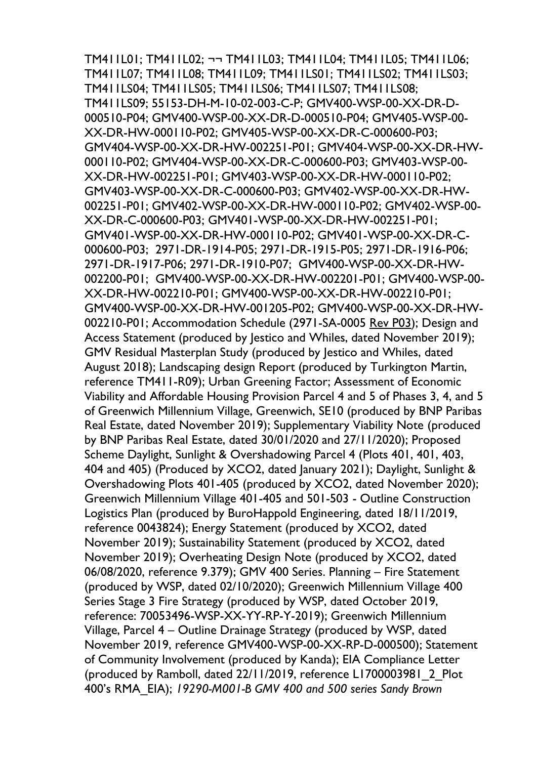TM411L01; TM411L02; ¬¬ TM411L03; TM411L04; TM411L05; TM411L06; TM411L07; TM411L08; TM411L09; TM411LS01; TM411LS02; TM411LS03; TM411LS04; TM411LS05; TM411LS06; TM411LS07; TM411LS08; TM411LS09; 55153-DH-M-10-02-003-C-P; GMV400-WSP-00-XX-DR-D-000510-P04; GMV400-WSP-00-XX-DR-D-000510-P04; GMV405-WSP-00- XX-DR-HW-000110-P02; GMV405-WSP-00-XX-DR-C-000600-P03; GMV404-WSP-00-XX-DR-HW-002251-P01; GMV404-WSP-00-XX-DR-HW-000110-P02; GMV404-WSP-00-XX-DR-C-000600-P03; GMV403-WSP-00- XX-DR-HW-002251-P01; GMV403-WSP-00-XX-DR-HW-000110-P02; GMV403-WSP-00-XX-DR-C-000600-P03; GMV402-WSP-00-XX-DR-HW-002251-P01; GMV402-WSP-00-XX-DR-HW-000110-P02; GMV402-WSP-00- XX-DR-C-000600-P03; GMV401-WSP-00-XX-DR-HW-002251-P01; GMV401-WSP-00-XX-DR-HW-000110-P02; GMV401-WSP-00-XX-DR-C-000600-P03; 2971-DR-1914-P05; 2971-DR-1915-P05; 2971-DR-1916-P06; 2971-DR-1917-P06; 2971-DR-1910-P07; GMV400-WSP-00-XX-DR-HW-002200-P01; GMV400-WSP-00-XX-DR-HW-002201-P01; GMV400-WSP-00- XX-DR-HW-002210-P01; GMV400-WSP-00-XX-DR-HW-002210-P01; GMV400-WSP-00-XX-DR-HW-001205-P02; GMV400-WSP-00-XX-DR-HW-002210-P01; Accommodation Schedule (2971-SA-0005 Rev P03); Design and Access Statement (produced by Jestico and Whiles, dated November 2019); GMV Residual Masterplan Study (produced by Jestico and Whiles, dated August 2018); Landscaping design Report (produced by Turkington Martin, reference TM411-R09); Urban Greening Factor; Assessment of Economic Viability and Affordable Housing Provision Parcel 4 and 5 of Phases 3, 4, and 5 of Greenwich Millennium Village, Greenwich, SE10 (produced by BNP Paribas Real Estate, dated November 2019); Supplementary Viability Note (produced by BNP Paribas Real Estate, dated 30/01/2020 and 27/11/2020); Proposed Scheme Daylight, Sunlight & Overshadowing Parcel 4 (Plots 401, 401, 403, 404 and 405) (Produced by XCO2, dated January 2021); Daylight, Sunlight & Overshadowing Plots 401-405 (produced by XCO2, dated November 2020); Greenwich Millennium Village 401-405 and 501-503 - Outline Construction Logistics Plan (produced by BuroHappold Engineering, dated 18/11/2019, reference 0043824); Energy Statement (produced by XCO2, dated November 2019); Sustainability Statement (produced by XCO2, dated November 2019); Overheating Design Note (produced by XCO2, dated 06/08/2020, reference 9.379); GMV 400 Series. Planning – Fire Statement (produced by WSP, dated 02/10/2020); Greenwich Millennium Village 400 Series Stage 3 Fire Strategy (produced by WSP, dated October 2019, reference: 70053496-WSP-XX-YY-RP-Y-2019); Greenwich Millennium Village, Parcel 4 – Outline Drainage Strategy (produced by WSP, dated November 2019, reference GMV400-WSP-00-XX-RP-D-000500); Statement of Community Involvement (produced by Kanda); EIA Compliance Letter (produced by Ramboll, dated 22/11/2019, reference L1700003981\_2\_Plot 400's RMA\_EIA); *19290-M001-B GMV 400 and 500 series Sandy Brown*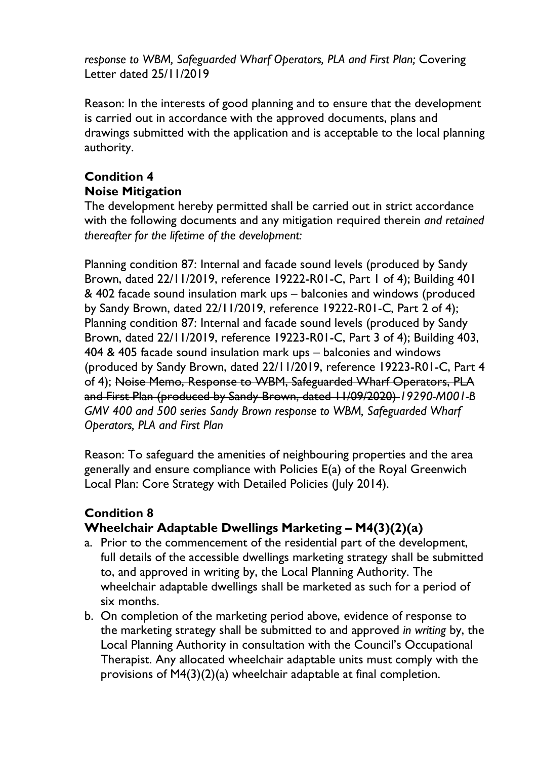*response to WBM, Safeguarded Wharf Operators, PLA and First Plan;* Covering Letter dated 25/11/2019

Reason: In the interests of good planning and to ensure that the development is carried out in accordance with the approved documents, plans and drawings submitted with the application and is acceptable to the local planning authority.

# **Condition 4 Noise Mitigation**

The development hereby permitted shall be carried out in strict accordance with the following documents and any mitigation required therein *and retained thereafter for the lifetime of the development:*

Planning condition 87: Internal and facade sound levels (produced by Sandy Brown, dated 22/11/2019, reference 19222-R01-C, Part 1 of 4); Building 401 & 402 facade sound insulation mark ups – balconies and windows (produced by Sandy Brown, dated 22/11/2019, reference 19222-R01-C, Part 2 of 4); Planning condition 87: Internal and facade sound levels (produced by Sandy Brown, dated 22/11/2019, reference 19223-R01-C, Part 3 of 4); Building 403, 404 & 405 facade sound insulation mark ups – balconies and windows (produced by Sandy Brown, dated 22/11/2019, reference 19223-R01-C, Part 4 of 4); Noise Memo, Response to WBM, Safeguarded Wharf Operators, PLA and First Plan (produced by Sandy Brown, dated 11/09/2020) *19290-M001-B GMV 400 and 500 series Sandy Brown response to WBM, Safeguarded Wharf Operators, PLA and First Plan*

Reason: To safeguard the amenities of neighbouring properties and the area generally and ensure compliance with Policies E(a) of the Royal Greenwich Local Plan: Core Strategy with Detailed Policies (July 2014).

## **Condition 8 Wheelchair Adaptable Dwellings Marketing – M4(3)(2)(a)**

- a. Prior to the commencement of the residential part of the development, full details of the accessible dwellings marketing strategy shall be submitted to, and approved in writing by, the Local Planning Authority. The wheelchair adaptable dwellings shall be marketed as such for a period of six months.
- b. On completion of the marketing period above, evidence of response to the marketing strategy shall be submitted to and approved *in writing* by, the Local Planning Authority in consultation with the Council's Occupational Therapist. Any allocated wheelchair adaptable units must comply with the provisions of M4(3)(2)(a) wheelchair adaptable at final completion.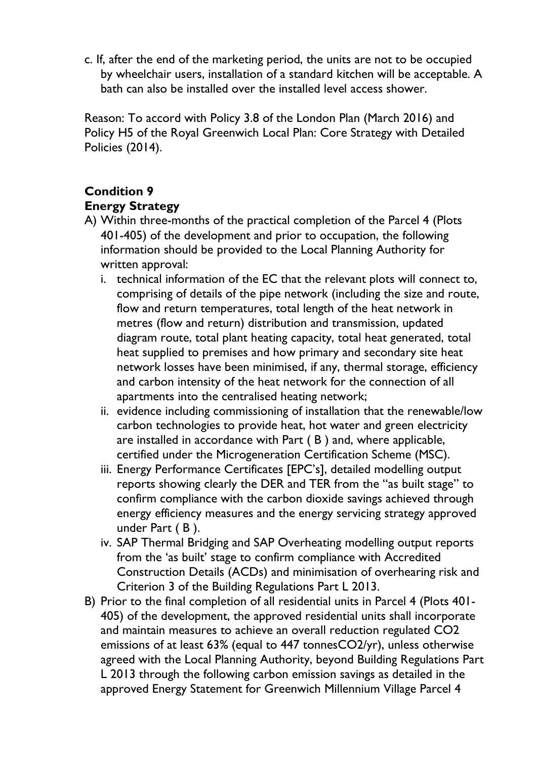c. If, after the end of the marketing period, the units are not to be occupied by wheelchair users, installation of a standard kitchen will be acceptable. A bath can also be installed over the installed level access shower.

Reason: To accord with Policy 3.8 of the London Plan (March 2016) and Policy H5 of the Royal Greenwich Local Plan: Core Strategy with Detailed Policies (2014).

# **Condition 9**

## **Energy Strategy**

- A) Within three-months of the practical completion of the Parcel 4 (Plots 401-405) of the development and prior to occupation, the following information should be provided to the Local Planning Authority for written approval:
	- i. technical information of the EC that the relevant plots will connect to, comprising of details of the pipe network (including the size and route, flow and return temperatures, total length of the heat network in metres (flow and return) distribution and transmission, updated diagram route, total plant heating capacity, total heat generated, total heat supplied to premises and how primary and secondary site heat network losses have been minimised, if any, thermal storage, efficiency and carbon intensity of the heat network for the connection of all apartments into the centralised heating network;
	- ii. evidence including commissioning of installation that the renewable/low carbon technologies to provide heat, hot water and green electricity are installed in accordance with Part ( B ) and, where applicable, certified under the Microgeneration Certification Scheme (MSC).
	- iii. Energy Performance Certificates [EPC's], detailed modelling output reports showing clearly the DER and TER from the "as built stage" to confirm compliance with the carbon dioxide savings achieved through energy efficiency measures and the energy servicing strategy approved under Part ( B ).
	- iv. SAP Thermal Bridging and SAP Overheating modelling output reports from the 'as built' stage to confirm compliance with Accredited Construction Details (ACDs) and minimisation of overhearing risk and Criterion 3 of the Building Regulations Part L 2013.
- B) Prior to the final completion of all residential units in Parcel 4 (Plots 401- 405) of the development, the approved residential units shall incorporate and maintain measures to achieve an overall reduction regulated CO2 emissions of at least 63% (equal to 447 tonnesCO2/yr), unless otherwise agreed with the Local Planning Authority, beyond Building Regulations Part L 2013 through the following carbon emission savings as detailed in the approved Energy Statement for Greenwich Millennium Village Parcel 4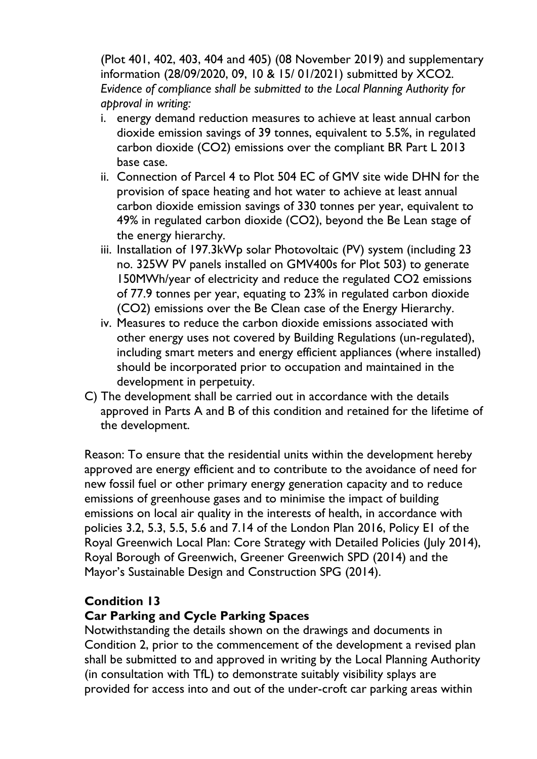(Plot 401, 402, 403, 404 and 405) (08 November 2019) and supplementary information (28/09/2020, 09, 10 & 15/ 01/2021) submitted by XCO2. *Evidence of compliance shall be submitted to the Local Planning Authority for approval in writing:*

- i. energy demand reduction measures to achieve at least annual carbon dioxide emission savings of 39 tonnes, equivalent to 5.5%, in regulated carbon dioxide (CO2) emissions over the compliant BR Part L 2013 base case.
- ii. Connection of Parcel 4 to Plot 504 EC of GMV site wide DHN for the provision of space heating and hot water to achieve at least annual carbon dioxide emission savings of 330 tonnes per year, equivalent to 49% in regulated carbon dioxide (CO2), beyond the Be Lean stage of the energy hierarchy.
- iii. Installation of 197.3kWp solar Photovoltaic (PV) system (including 23 no. 325W PV panels installed on GMV400s for Plot 503) to generate 150MWh/year of electricity and reduce the regulated CO2 emissions of 77.9 tonnes per year, equating to 23% in regulated carbon dioxide (CO2) emissions over the Be Clean case of the Energy Hierarchy.
- iv. Measures to reduce the carbon dioxide emissions associated with other energy uses not covered by Building Regulations (un-regulated), including smart meters and energy efficient appliances (where installed) should be incorporated prior to occupation and maintained in the development in perpetuity.
- C) The development shall be carried out in accordance with the details approved in Parts A and B of this condition and retained for the lifetime of the development.

Reason: To ensure that the residential units within the development hereby approved are energy efficient and to contribute to the avoidance of need for new fossil fuel or other primary energy generation capacity and to reduce emissions of greenhouse gases and to minimise the impact of building emissions on local air quality in the interests of health, in accordance with policies 3.2, 5.3, 5.5, 5.6 and 7.14 of the London Plan 2016, Policy E1 of the Royal Greenwich Local Plan: Core Strategy with Detailed Policies (July 2014), Royal Borough of Greenwich, Greener Greenwich SPD (2014) and the Mayor's Sustainable Design and Construction SPG (2014).

## **Condition 13**

## **Car Parking and Cycle Parking Spaces**

Notwithstanding the details shown on the drawings and documents in Condition 2, prior to the commencement of the development a revised plan shall be submitted to and approved in writing by the Local Planning Authority (in consultation with TfL) to demonstrate suitably visibility splays are provided for access into and out of the under-croft car parking areas within